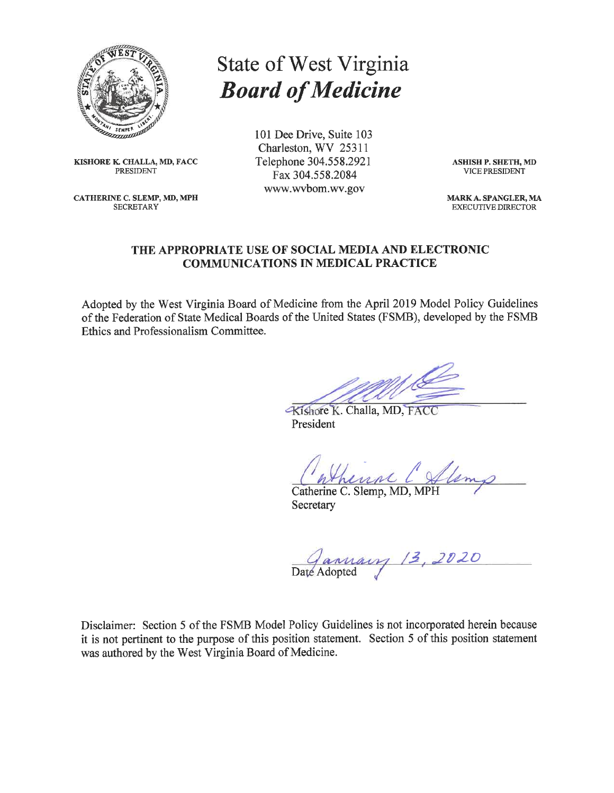

KISHORE K. CHALLA, MD, FACC **PRESIDENT** 

CATHERINE C. SLEMP, MD, MPH **SECRETARY** 

# **State of West Virginia Board of Medicine**

101 Dee Drive, Suite 103 Charleston, WV 25311 Telephone 304.558.2921 Fax 304.558.2084 www.wvbom.wv.gov

**ASHISH P. SHETH, MD VICE PRESIDENT** 

MARK A. SPANGLER, MA **EXECUTIVE DIRECTOR** 

# THE APPROPRIATE USE OF SOCIAL MEDIA AND ELECTRONIC **COMMUNICATIONS IN MEDICAL PRACTICE**

Adopted by the West Virginia Board of Medicine from the April 2019 Model Policy Guidelines of the Federation of State Medical Boards of the United States (FSMB), developed by the FSMB Ethics and Professionalism Committee.

Kishore K. Challa, MD, FACC President

Catherine C. Slemp, MD, MPH Secretary

Gannary 13, 2020

Disclaimer: Section 5 of the FSMB Model Policy Guidelines is not incorporated herein because it is not pertinent to the purpose of this position statement. Section 5 of this position statement was authored by the West Virginia Board of Medicine.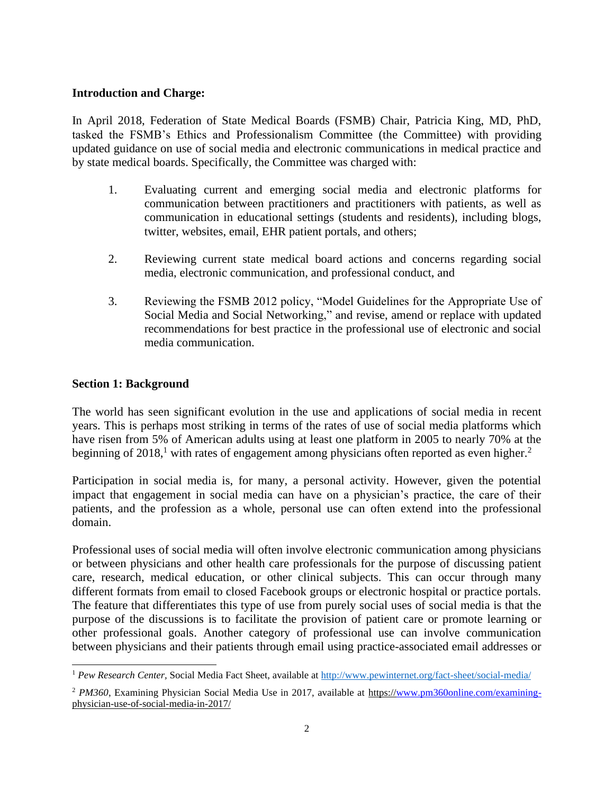## **Introduction and Charge:**

In April 2018, Federation of State Medical Boards (FSMB) Chair, Patricia King, MD, PhD, tasked the FSMB's Ethics and Professionalism Committee (the Committee) with providing updated guidance on use of social media and electronic communications in medical practice and by state medical boards. Specifically, the Committee was charged with:

- 1. Evaluating current and emerging social media and electronic platforms for communication between practitioners and practitioners with patients, as well as communication in educational settings (students and residents), including blogs, twitter, websites, email, EHR patient portals, and others;
- 2. Reviewing current state medical board actions and concerns regarding social media, electronic communication, and professional conduct, and
- 3. Reviewing the FSMB 2012 policy, "Model Guidelines for the Appropriate Use of Social Media and Social Networking," and revise, amend or replace with updated recommendations for best practice in the professional use of electronic and social media communication.

# **Section 1: Background**

The world has seen significant evolution in the use and applications of social media in recent years. This is perhaps most striking in terms of the rates of use of social media platforms which have risen from 5% of American adults using at least one platform in 2005 to nearly 70% at the beginning of 2018,<sup>1</sup> with rates of engagement among physicians often reported as even higher.<sup>2</sup>

Participation in social media is, for many, a personal activity. However, given the potential impact that engagement in social media can have on a physician's practice, the care of their patients, and the profession as a whole, personal use can often extend into the professional domain.

Professional uses of social media will often involve electronic communication among physicians or between physicians and other health care professionals for the purpose of discussing patient care, research, medical education, or other clinical subjects. This can occur through many different formats from email to closed Facebook groups or electronic hospital or practice portals. The feature that differentiates this type of use from purely social uses of social media is that the purpose of the discussions is to facilitate the provision of patient care or promote learning or other professional goals. Another category of professional use can involve communication between physicians and their patients through email using practice-associated email addresses or

<sup>&</sup>lt;sup>1</sup> Pew Research Center, Social Media Fact Sheet, available at<http://www.pewinternet.org/fact-sheet/social-media/>

<sup>2</sup> *PM360*, Examining Physician Social Media Use in 2017, available at https:/[/www.pm360online.com/examining](http://www.pm360online.com/examining-)physician-use-of-social-media-in-2017/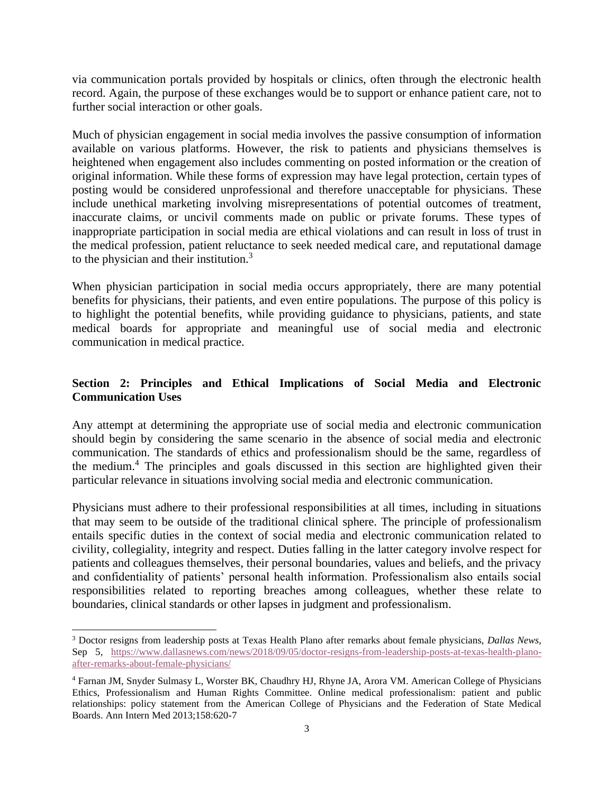via communication portals provided by hospitals or clinics, often through the electronic health record. Again, the purpose of these exchanges would be to support or enhance patient care, not to further social interaction or other goals.

Much of physician engagement in social media involves the passive consumption of information available on various platforms. However, the risk to patients and physicians themselves is heightened when engagement also includes commenting on posted information or the creation of original information. While these forms of expression may have legal protection, certain types of posting would be considered unprofessional and therefore unacceptable for physicians. These include unethical marketing involving misrepresentations of potential outcomes of treatment, inaccurate claims, or uncivil comments made on public or private forums. These types of inappropriate participation in social media are ethical violations and can result in loss of trust in the medical profession, patient reluctance to seek needed medical care, and reputational damage to the physician and their institution.<sup>3</sup>

When physician participation in social media occurs appropriately, there are many potential benefits for physicians, their patients, and even entire populations. The purpose of this policy is to highlight the potential benefits, while providing guidance to physicians, patients, and state medical boards for appropriate and meaningful use of social media and electronic communication in medical practice.

# **Section 2: Principles and Ethical Implications of Social Media and Electronic Communication Uses**

Any attempt at determining the appropriate use of social media and electronic communication should begin by considering the same scenario in the absence of social media and electronic communication. The standards of ethics and professionalism should be the same, regardless of the medium.<sup>4</sup> The principles and goals discussed in this section are highlighted given their particular relevance in situations involving social media and electronic communication.

Physicians must adhere to their professional responsibilities at all times, including in situations that may seem to be outside of the traditional clinical sphere. The principle of professionalism entails specific duties in the context of social media and electronic communication related to civility, collegiality, integrity and respect. Duties falling in the latter category involve respect for patients and colleagues themselves, their personal boundaries, values and beliefs, and the privacy and confidentiality of patients' personal health information. Professionalism also entails social responsibilities related to reporting breaches among colleagues, whether these relate to boundaries, clinical standards or other lapses in judgment and professionalism.

<sup>3</sup> Doctor resigns from leadership posts at Texas Health Plano after remarks about female physicians, *Dallas News*, Sep 5, [https://www.dallasnews.com/news/2018/09/05/doctor-resigns-from-leadership-posts-at-texas-health-plano](https://www.dallasnews.com/news/2018/09/05/doctor-resigns-from-leadership-posts-at-texas-health-plano-after-remarks-about-female-physicians/)[after-remarks-about-female-physicians/](https://www.dallasnews.com/news/2018/09/05/doctor-resigns-from-leadership-posts-at-texas-health-plano-after-remarks-about-female-physicians/)

<sup>4</sup> Farnan JM, Snyder Sulmasy L, Worster BK, Chaudhry HJ, Rhyne JA, Arora VM. American College of Physicians Ethics, Professionalism and Human Rights Committee. Online medical professionalism: patient and public relationships: policy statement from the American College of Physicians and the Federation of State Medical Boards. Ann Intern Med 2013;158:620-7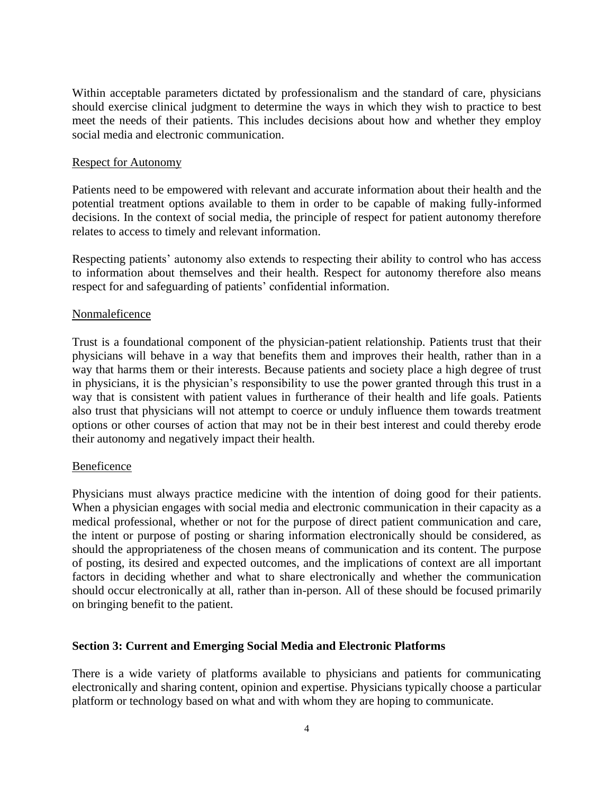Within acceptable parameters dictated by professionalism and the standard of care, physicians should exercise clinical judgment to determine the ways in which they wish to practice to best meet the needs of their patients. This includes decisions about how and whether they employ social media and electronic communication.

#### Respect for Autonomy

Patients need to be empowered with relevant and accurate information about their health and the potential treatment options available to them in order to be capable of making fully-informed decisions. In the context of social media, the principle of respect for patient autonomy therefore relates to access to timely and relevant information.

Respecting patients' autonomy also extends to respecting their ability to control who has access to information about themselves and their health. Respect for autonomy therefore also means respect for and safeguarding of patients' confidential information.

#### Nonmaleficence

Trust is a foundational component of the physician-patient relationship. Patients trust that their physicians will behave in a way that benefits them and improves their health, rather than in a way that harms them or their interests. Because patients and society place a high degree of trust in physicians, it is the physician's responsibility to use the power granted through this trust in a way that is consistent with patient values in furtherance of their health and life goals. Patients also trust that physicians will not attempt to coerce or unduly influence them towards treatment options or other courses of action that may not be in their best interest and could thereby erode their autonomy and negatively impact their health.

## Beneficence

Physicians must always practice medicine with the intention of doing good for their patients. When a physician engages with social media and electronic communication in their capacity as a medical professional, whether or not for the purpose of direct patient communication and care, the intent or purpose of posting or sharing information electronically should be considered, as should the appropriateness of the chosen means of communication and its content. The purpose of posting, its desired and expected outcomes, and the implications of context are all important factors in deciding whether and what to share electronically and whether the communication should occur electronically at all, rather than in-person. All of these should be focused primarily on bringing benefit to the patient.

## **Section 3: Current and Emerging Social Media and Electronic Platforms**

There is a wide variety of platforms available to physicians and patients for communicating electronically and sharing content, opinion and expertise. Physicians typically choose a particular platform or technology based on what and with whom they are hoping to communicate.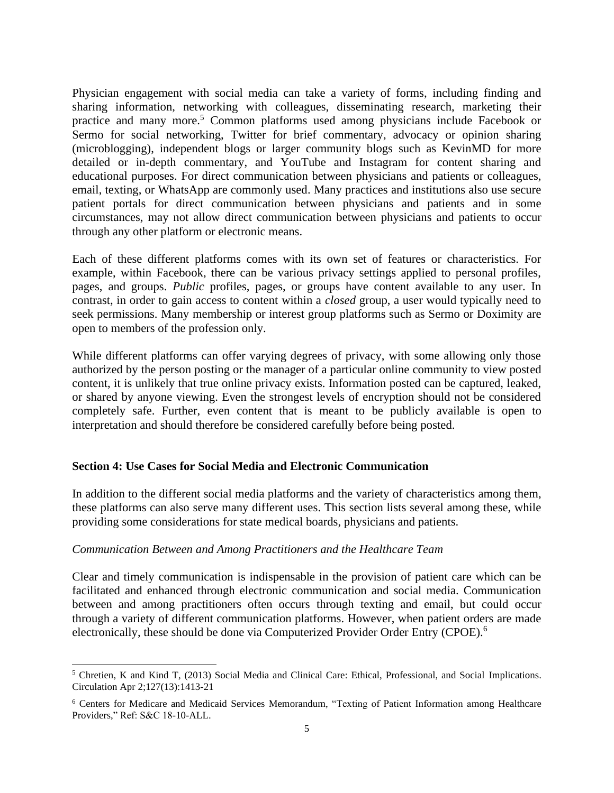Physician engagement with social media can take a variety of forms, including finding and sharing information, networking with colleagues, disseminating research, marketing their practice and many more.<sup>5</sup> Common platforms used among physicians include Facebook or Sermo for social networking, Twitter for brief commentary, advocacy or opinion sharing (microblogging), independent blogs or larger community blogs such as KevinMD for more detailed or in-depth commentary, and YouTube and Instagram for content sharing and educational purposes. For direct communication between physicians and patients or colleagues, email, texting, or WhatsApp are commonly used. Many practices and institutions also use secure patient portals for direct communication between physicians and patients and in some circumstances, may not allow direct communication between physicians and patients to occur through any other platform or electronic means.

Each of these different platforms comes with its own set of features or characteristics. For example, within Facebook, there can be various privacy settings applied to personal profiles, pages, and groups. *Public* profiles, pages, or groups have content available to any user. In contrast, in order to gain access to content within a *closed* group, a user would typically need to seek permissions. Many membership or interest group platforms such as Sermo or Doximity are open to members of the profession only.

While different platforms can offer varying degrees of privacy, with some allowing only those authorized by the person posting or the manager of a particular online community to view posted content, it is unlikely that true online privacy exists. Information posted can be captured, leaked, or shared by anyone viewing. Even the strongest levels of encryption should not be considered completely safe. Further, even content that is meant to be publicly available is open to interpretation and should therefore be considered carefully before being posted.

## **Section 4: Use Cases for Social Media and Electronic Communication**

In addition to the different social media platforms and the variety of characteristics among them, these platforms can also serve many different uses. This section lists several among these, while providing some considerations for state medical boards, physicians and patients.

## *Communication Between and Among Practitioners and the Healthcare Team*

Clear and timely communication is indispensable in the provision of patient care which can be facilitated and enhanced through electronic communication and social media. Communication between and among practitioners often occurs through texting and email, but could occur through a variety of different communication platforms. However, when patient orders are made electronically, these should be done via Computerized Provider Order Entry (CPOE).<sup>6</sup>

<sup>5</sup> Chretien, K and Kind T, (2013) Social Media and Clinical Care: Ethical, Professional, and Social Implications. Circulation Apr 2;127(13):1413-21

<sup>6</sup> Centers for Medicare and Medicaid Services Memorandum, "Texting of Patient Information among Healthcare Providers," Ref: S&C 18-10-ALL.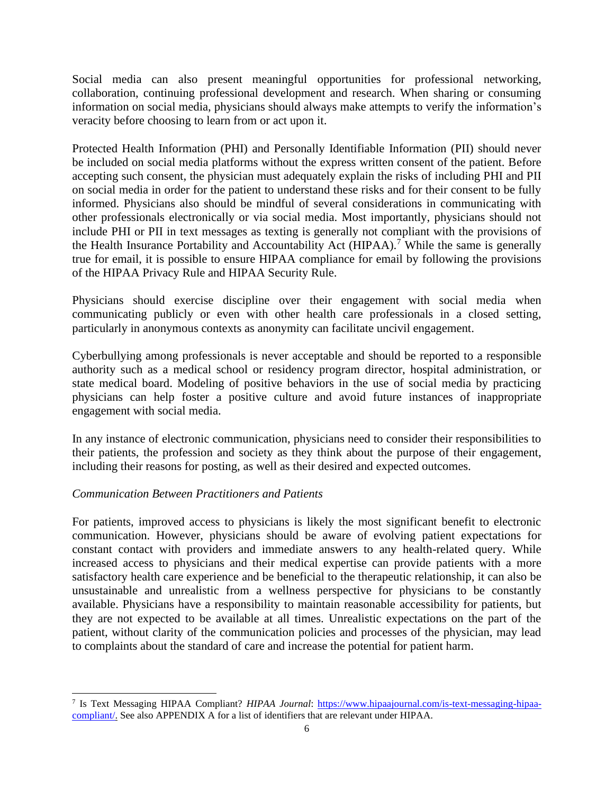Social media can also present meaningful opportunities for professional networking, collaboration, continuing professional development and research. When sharing or consuming information on social media, physicians should always make attempts to verify the information's veracity before choosing to learn from or act upon it.

Protected Health Information (PHI) and Personally Identifiable Information (PII) should never be included on social media platforms without the express written consent of the patient. Before accepting such consent, the physician must adequately explain the risks of including PHI and PII on social media in order for the patient to understand these risks and for their consent to be fully informed. Physicians also should be mindful of several considerations in communicating with other professionals electronically or via social media. Most importantly, physicians should not include PHI or PII in text messages as texting is generally not compliant with the provisions of the Health Insurance Portability and Accountability Act (HIPAA).<sup>7</sup> While the same is generally true for email, it is possible to ensure HIPAA compliance for email by following the provisions of the HIPAA Privacy Rule and HIPAA Security Rule.

Physicians should exercise discipline over their engagement with social media when communicating publicly or even with other health care professionals in a closed setting, particularly in anonymous contexts as anonymity can facilitate uncivil engagement.

Cyberbullying among professionals is never acceptable and should be reported to a responsible authority such as a medical school or residency program director, hospital administration, or state medical board. Modeling of positive behaviors in the use of social media by practicing physicians can help foster a positive culture and avoid future instances of inappropriate engagement with social media.

In any instance of electronic communication, physicians need to consider their responsibilities to their patients, the profession and society as they think about the purpose of their engagement, including their reasons for posting, as well as their desired and expected outcomes.

## *Communication Between Practitioners and Patients*

For patients, improved access to physicians is likely the most significant benefit to electronic communication. However, physicians should be aware of evolving patient expectations for constant contact with providers and immediate answers to any health-related query. While increased access to physicians and their medical expertise can provide patients with a more satisfactory health care experience and be beneficial to the therapeutic relationship, it can also be unsustainable and unrealistic from a wellness perspective for physicians to be constantly available. Physicians have a responsibility to maintain reasonable accessibility for patients, but they are not expected to be available at all times. Unrealistic expectations on the part of the patient, without clarity of the communication policies and processes of the physician, may lead to complaints about the standard of care and increase the potential for patient harm.

<sup>&</sup>lt;sup>7</sup> Is Text Messaging HIPAA Compliant? *HIPAA Journal*: [https://www.hipaajournal.com/is-text-messaging-hipaa](https://www.hipaajournal.com/is-text-messaging-hipaa-%20compliant/)[compliant/.](https://www.hipaajournal.com/is-text-messaging-hipaa-%20compliant/) See also APPENDIX A for a list of identifiers that are relevant under HIPAA.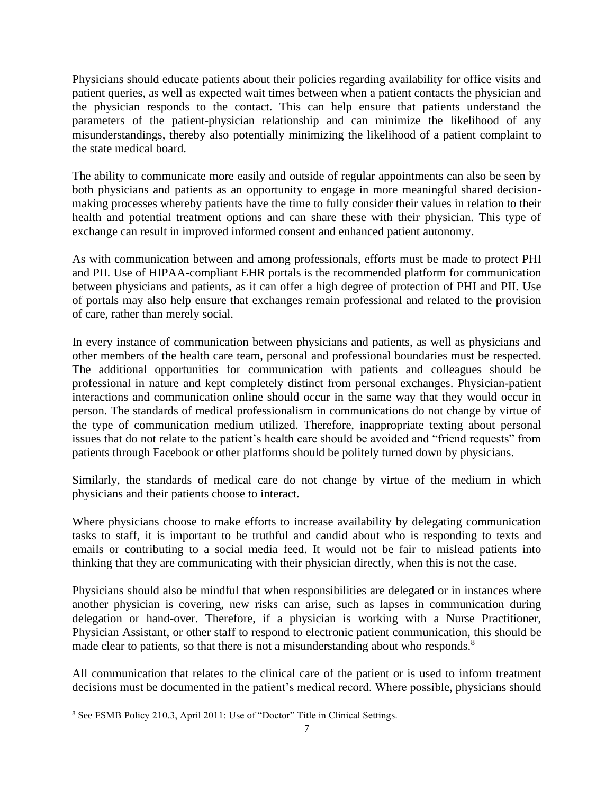Physicians should educate patients about their policies regarding availability for office visits and patient queries, as well as expected wait times between when a patient contacts the physician and the physician responds to the contact. This can help ensure that patients understand the parameters of the patient-physician relationship and can minimize the likelihood of any misunderstandings, thereby also potentially minimizing the likelihood of a patient complaint to the state medical board.

The ability to communicate more easily and outside of regular appointments can also be seen by both physicians and patients as an opportunity to engage in more meaningful shared decisionmaking processes whereby patients have the time to fully consider their values in relation to their health and potential treatment options and can share these with their physician. This type of exchange can result in improved informed consent and enhanced patient autonomy.

As with communication between and among professionals, efforts must be made to protect PHI and PII. Use of HIPAA-compliant EHR portals is the recommended platform for communication between physicians and patients, as it can offer a high degree of protection of PHI and PII. Use of portals may also help ensure that exchanges remain professional and related to the provision of care, rather than merely social.

In every instance of communication between physicians and patients, as well as physicians and other members of the health care team, personal and professional boundaries must be respected. The additional opportunities for communication with patients and colleagues should be professional in nature and kept completely distinct from personal exchanges. Physician-patient interactions and communication online should occur in the same way that they would occur in person. The standards of medical professionalism in communications do not change by virtue of the type of communication medium utilized. Therefore, inappropriate texting about personal issues that do not relate to the patient's health care should be avoided and "friend requests" from patients through Facebook or other platforms should be politely turned down by physicians.

Similarly, the standards of medical care do not change by virtue of the medium in which physicians and their patients choose to interact.

Where physicians choose to make efforts to increase availability by delegating communication tasks to staff, it is important to be truthful and candid about who is responding to texts and emails or contributing to a social media feed. It would not be fair to mislead patients into thinking that they are communicating with their physician directly, when this is not the case.

Physicians should also be mindful that when responsibilities are delegated or in instances where another physician is covering, new risks can arise, such as lapses in communication during delegation or hand-over. Therefore, if a physician is working with a Nurse Practitioner, Physician Assistant, or other staff to respond to electronic patient communication, this should be made clear to patients, so that there is not a misunderstanding about who responds.<sup>8</sup>

All communication that relates to the clinical care of the patient or is used to inform treatment decisions must be documented in the patient's medical record. Where possible, physicians should

<sup>8</sup> See FSMB Policy 210.3, April 2011: Use of "Doctor" Title in Clinical Settings.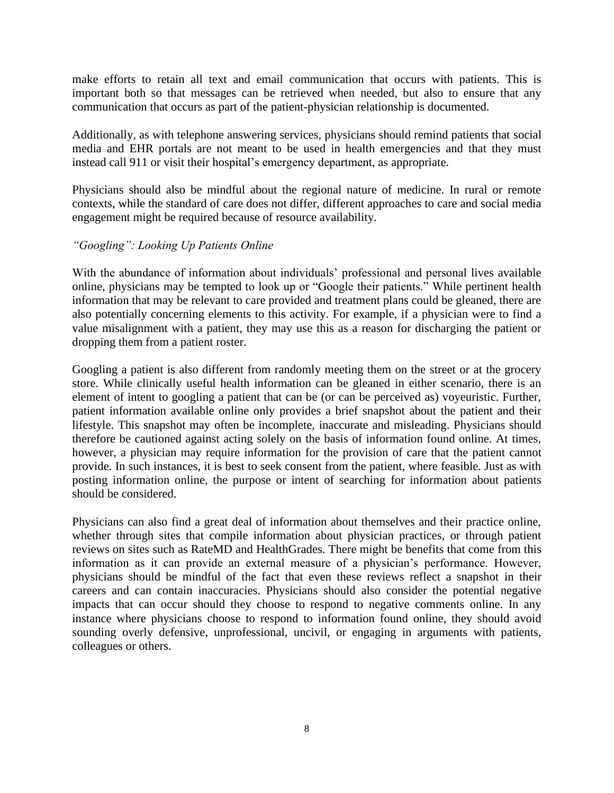make efforts to retain all text and email communication that occurs with patients. This is important both so that messages can be retrieved when needed, but also to ensure that any communication that occurs as part of the patient-physician relationship is documented.

Additionally, as with telephone answering services, physicians should remind patients that social media and EHR portals are not meant to be used in health emergencies and that they must instead call 911 or visit their hospital's emergency department, as appropriate.

Physicians should also be mindful about the regional nature of medicine. In rural or remote contexts, while the standard of care does not differ, different approaches to care and social media engagement might be required because of resource availability.

# *"Googling": Looking Up Patients Online*

With the abundance of information about individuals' professional and personal lives available online, physicians may be tempted to look up or "Google their patients." While pertinent health information that may be relevant to care provided and treatment plans could be gleaned, there are also potentially concerning elements to this activity. For example, if a physician were to find a value misalignment with a patient, they may use this as a reason for discharging the patient or dropping them from a patient roster.

Googling a patient is also different from randomly meeting them on the street or at the grocery store. While clinically useful health information can be gleaned in either scenario, there is an element of intent to googling a patient that can be (or can be perceived as) voyeuristic. Further, patient information available online only provides a brief snapshot about the patient and their lifestyle. This snapshot may often be incomplete, inaccurate and misleading. Physicians should therefore be cautioned against acting solely on the basis of information found online. At times, however, a physician may require information for the provision of care that the patient cannot provide. In such instances, it is best to seek consent from the patient, where feasible. Just as with posting information online, the purpose or intent of searching for information about patients should be considered.

Physicians can also find a great deal of information about themselves and their practice online, whether through sites that compile information about physician practices, or through patient reviews on sites such as RateMD and HealthGrades. There might be benefits that come from this information as it can provide an external measure of a physician's performance. However, physicians should be mindful of the fact that even these reviews reflect a snapshot in their careers and can contain inaccuracies. Physicians should also consider the potential negative impacts that can occur should they choose to respond to negative comments online. In any instance where physicians choose to respond to information found online, they should avoid sounding overly defensive, unprofessional, uncivil, or engaging in arguments with patients, colleagues or others.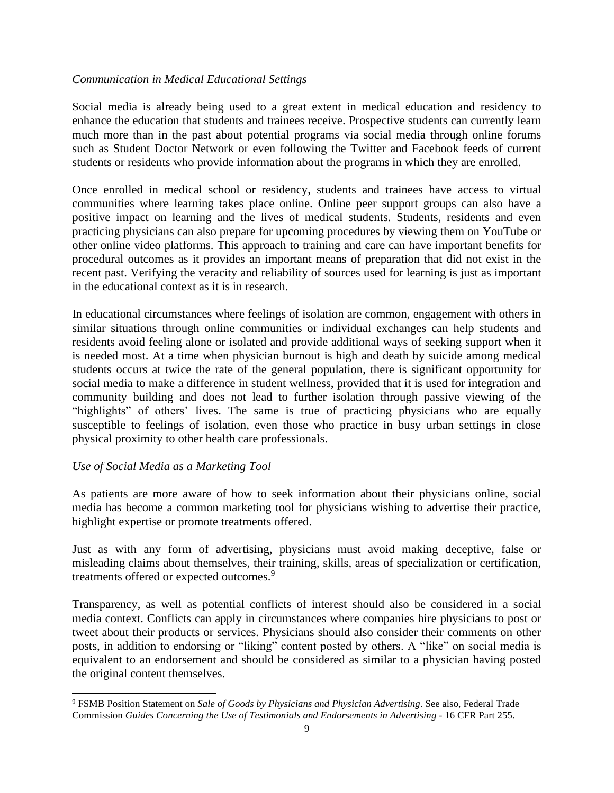#### *Communication in Medical Educational Settings*

Social media is already being used to a great extent in medical education and residency to enhance the education that students and trainees receive. Prospective students can currently learn much more than in the past about potential programs via social media through online forums such as Student Doctor Network or even following the Twitter and Facebook feeds of current students or residents who provide information about the programs in which they are enrolled.

Once enrolled in medical school or residency, students and trainees have access to virtual communities where learning takes place online. Online peer support groups can also have a positive impact on learning and the lives of medical students. Students, residents and even practicing physicians can also prepare for upcoming procedures by viewing them on YouTube or other online video platforms. This approach to training and care can have important benefits for procedural outcomes as it provides an important means of preparation that did not exist in the recent past. Verifying the veracity and reliability of sources used for learning is just as important in the educational context as it is in research.

In educational circumstances where feelings of isolation are common, engagement with others in similar situations through online communities or individual exchanges can help students and residents avoid feeling alone or isolated and provide additional ways of seeking support when it is needed most. At a time when physician burnout is high and death by suicide among medical students occurs at twice the rate of the general population, there is significant opportunity for social media to make a difference in student wellness, provided that it is used for integration and community building and does not lead to further isolation through passive viewing of the "highlights" of others' lives. The same is true of practicing physicians who are equally susceptible to feelings of isolation, even those who practice in busy urban settings in close physical proximity to other health care professionals.

## *Use of Social Media as a Marketing Tool*

As patients are more aware of how to seek information about their physicians online, social media has become a common marketing tool for physicians wishing to advertise their practice, highlight expertise or promote treatments offered.

Just as with any form of advertising, physicians must avoid making deceptive, false or misleading claims about themselves, their training, skills, areas of specialization or certification, treatments offered or expected outcomes.<sup>9</sup>

Transparency, as well as potential conflicts of interest should also be considered in a social media context. Conflicts can apply in circumstances where companies hire physicians to post or tweet about their products or services. Physicians should also consider their comments on other posts, in addition to endorsing or "liking" content posted by others. A "like" on social media is equivalent to an endorsement and should be considered as similar to a physician having posted the original content themselves.

<sup>9</sup> FSMB Position Statement on *Sale of Goods by Physicians and Physician Advertising*. See also, Federal Trade Commission *Guides Concerning the Use of Testimonials and Endorsements in Advertising* - 16 CFR Part 255.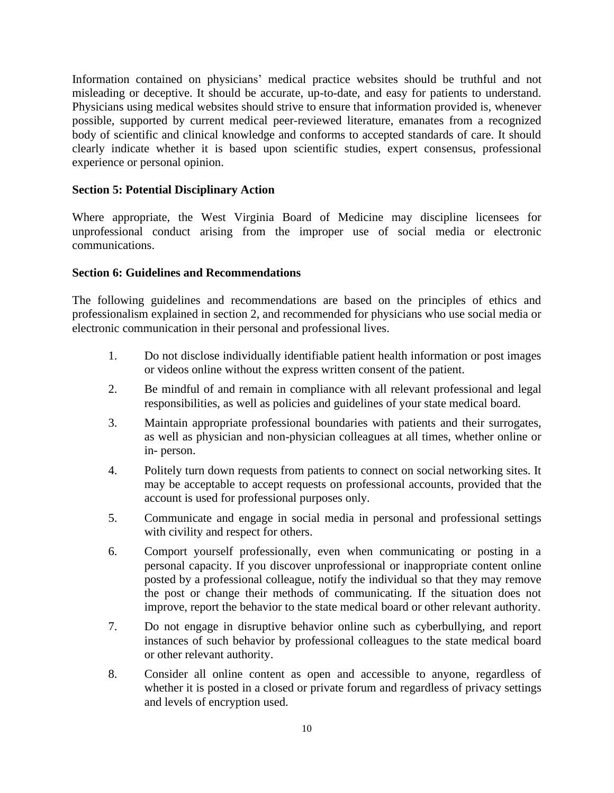Information contained on physicians' medical practice websites should be truthful and not misleading or deceptive. It should be accurate, up-to-date, and easy for patients to understand. Physicians using medical websites should strive to ensure that information provided is, whenever possible, supported by current medical peer-reviewed literature, emanates from a recognized body of scientific and clinical knowledge and conforms to accepted standards of care. It should clearly indicate whether it is based upon scientific studies, expert consensus, professional experience or personal opinion.

## **Section 5: Potential Disciplinary Action**

Where appropriate, the West Virginia Board of Medicine may discipline licensees for unprofessional conduct arising from the improper use of social media or electronic communications.

#### **Section 6: Guidelines and Recommendations**

The following guidelines and recommendations are based on the principles of ethics and professionalism explained in section 2, and recommended for physicians who use social media or electronic communication in their personal and professional lives.

- 1. Do not disclose individually identifiable patient health information or post images or videos online without the express written consent of the patient.
- 2. Be mindful of and remain in compliance with all relevant professional and legal responsibilities, as well as policies and guidelines of your state medical board.
- 3. Maintain appropriate professional boundaries with patients and their surrogates, as well as physician and non-physician colleagues at all times, whether online or in- person.
- 4. Politely turn down requests from patients to connect on social networking sites. It may be acceptable to accept requests on professional accounts, provided that the account is used for professional purposes only.
- 5. Communicate and engage in social media in personal and professional settings with civility and respect for others.
- 6. Comport yourself professionally, even when communicating or posting in a personal capacity. If you discover unprofessional or inappropriate content online posted by a professional colleague, notify the individual so that they may remove the post or change their methods of communicating. If the situation does not improve, report the behavior to the state medical board or other relevant authority.
- 7. Do not engage in disruptive behavior online such as cyberbullying, and report instances of such behavior by professional colleagues to the state medical board or other relevant authority.
- 8. Consider all online content as open and accessible to anyone, regardless of whether it is posted in a closed or private forum and regardless of privacy settings and levels of encryption used.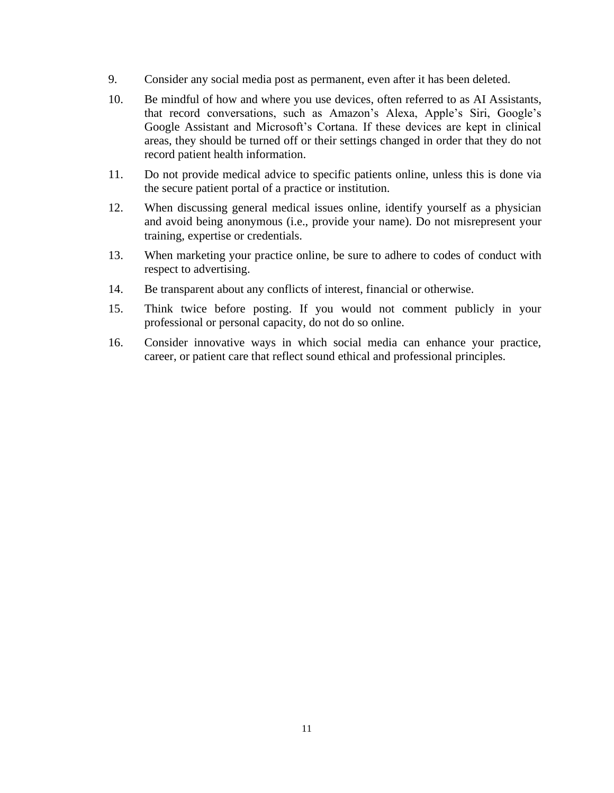- 9. Consider any social media post as permanent, even after it has been deleted.
- 10. Be mindful of how and where you use devices, often referred to as AI Assistants, that record conversations, such as Amazon's Alexa, Apple's Siri, Google's Google Assistant and Microsoft's Cortana. If these devices are kept in clinical areas, they should be turned off or their settings changed in order that they do not record patient health information.
- 11. Do not provide medical advice to specific patients online, unless this is done via the secure patient portal of a practice or institution.
- 12. When discussing general medical issues online, identify yourself as a physician and avoid being anonymous (i.e., provide your name). Do not misrepresent your training, expertise or credentials.
- 13. When marketing your practice online, be sure to adhere to codes of conduct with respect to advertising.
- 14. Be transparent about any conflicts of interest, financial or otherwise.
- 15. Think twice before posting. If you would not comment publicly in your professional or personal capacity, do not do so online.
- 16. Consider innovative ways in which social media can enhance your practice, career, or patient care that reflect sound ethical and professional principles.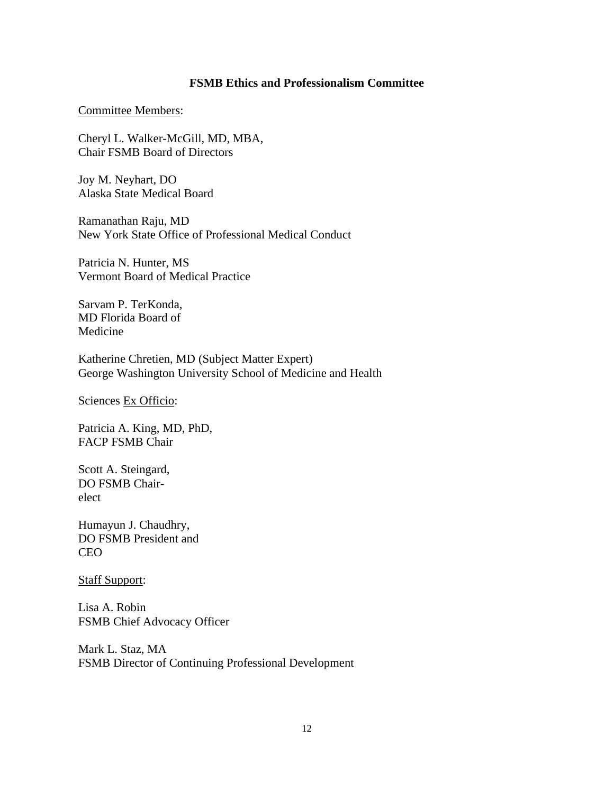#### **FSMB Ethics and Professionalism Committee**

#### Committee Members:

Cheryl L. Walker-McGill, MD, MBA, Chair FSMB Board of Directors

Joy M. Neyhart, DO Alaska State Medical Board

Ramanathan Raju, MD New York State Office of Professional Medical Conduct

Patricia N. Hunter, MS Vermont Board of Medical Practice

Sarvam P. TerKonda, MD Florida Board of Medicine

Katherine Chretien, MD (Subject Matter Expert) George Washington University School of Medicine and Health

Sciences Ex Officio:

Patricia A. King, MD, PhD, FACP FSMB Chair

Scott A. Steingard, DO FSMB Chairelect

Humayun J. Chaudhry, DO FSMB President and CEO

Staff Support:

Lisa A. Robin FSMB Chief Advocacy Officer

Mark L. Staz, MA FSMB Director of Continuing Professional Development